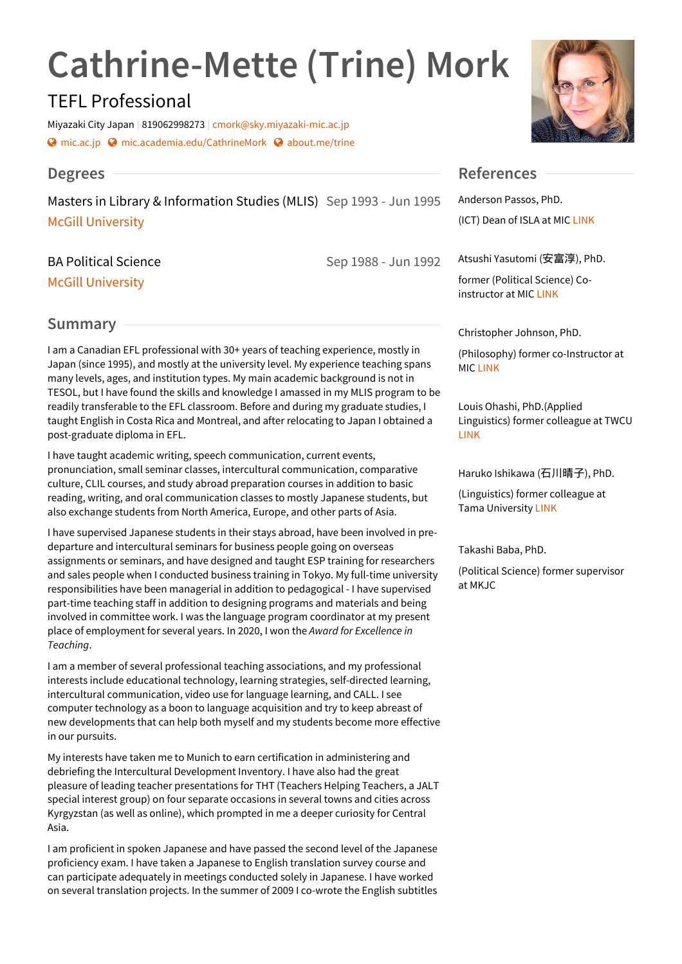# **Cathrine-Mette (Trine) Mork**

# TEFL Professional

Miyazaki City Japan | 819062998273 | [cmork@sky.miyazaki-mic.ac.jp](mailto:cmork@sky.miyazaki-mic.ac.jp) **۞** [mic.ac.jp](http://www.mic.ac.jp) **۞** [mic.academia.edu/CathrineMork](https://mic.academia.edu/CathrineMork) ۞ [about.me/trine](http://about.me/trine)

## **Degrees**

Masters in Library & Information Studies (MLIS) Sep 1993 - Jun 1995 An McGill [University](http://www.mcgill.ca/sis/)

BA Political Science

McGill [University](http://www.mcgill.ca/politicalscience/)

## **Summary**

I am a Canadian EFL professional with 30+ years of teaching experience, mostly in Japan (since 1995), and mostly at the university level. My experience teaching spans many levels, ages, and institution types. My main academic background is not in TESOL, but I have found the skills and knowledge I amassed in my MLIS program to be readily transferable to the EFL classroom. Before and during my graduate studies, I taught English in Costa Rica and Montreal, and after relocating to Japan I obtained a post-graduate diploma in EFL.

I have taught academic writing, speech communication, current events, pronunciation, small seminar classes, intercultural communication, comparative culture, CLIL courses, and study abroad preparation courses in addition to basic reading, writing, and oral communication classes to mostly Japanese students, but also exchange students from North America, Europe, and other parts of Asia.

I have supervised Japanese students in their stays abroad, have been involved in pre departure and intercultural seminars for business people going on overseas assignments or seminars, and have designed and taught ESP training for researchers and sales people when I conducted business training in Tokyo. My full-time university responsibilities have been managerial in addition to pedagogical - I have supervised part-time teaching staff in addition to designing programs and materials and being involved in committee work. I was the language program coordinator at my present place of employment for several years. In 2020, I won the *Award for Excellence in Teaching*.

I am a member of several professional teaching associations, and my professional interests include educational technology, learning strategies, self-directed learning, intercultural communication, video use for language learning, and CALL. I see computer technology as a boon to language acquisition and try to keep abreast of new developments that can help both myself and my students become more effective in our pursuits.

My interests have taken me to Munich to earn certification in administering and debriefing the Intercultural Development Inventory. I have also had the great pleasure of leading teacher presentations for THT (Teachers Helping Teachers, a JALT special interest group) on four separate occasions in several towns and cities across Kyrgyzstan (as well as online), which prompted in me a deeper curiosity for Central Asia.

I am proficient in spoken Japanese and have passed the second level of the Japanese proficiency exam. I have taken a Japanese to English translation survey course and can participate adequately in meetings conducted solely in Japanese. I have worked on several translation projects. In the summer of 2009 I co-wrote the English subtitles



## **References**

Sep 1988 - Jun 1992

Anderson Passos, PhD. (ICT) Dean of ISLA at MIC [LINK](https://www.mic.ac.jp/course/international/teacher/archives/11)

Atsushi Yasutomi (安富淳), PhD.

former (Political Science) Coinstructor at MIC [LINK](https://www.eikei.ac.jp/academics/researcher/details_00421.html)

Christopher Johnson, PhD.

(Philosophy) former co-Instructor at MIC [LINK](http://en.ritsumei.ac.jp/gla/people/faculty/johnson_christopher/)

Louis Ohashi, PhD.(Applied Linguistics) former colleague at TWCU [LINK](https://gakushuin.academia.edu/LouiseOhashi)

Haruko Ishikawa (石川晴子), PhD.

(Linguistics) former colleague at Tama University [LINK](https://www.tama.ac.jp/guide/teacher/ishikawa.html)

Takashi Baba, PhD.

(Political Science) former supervisor at MKJC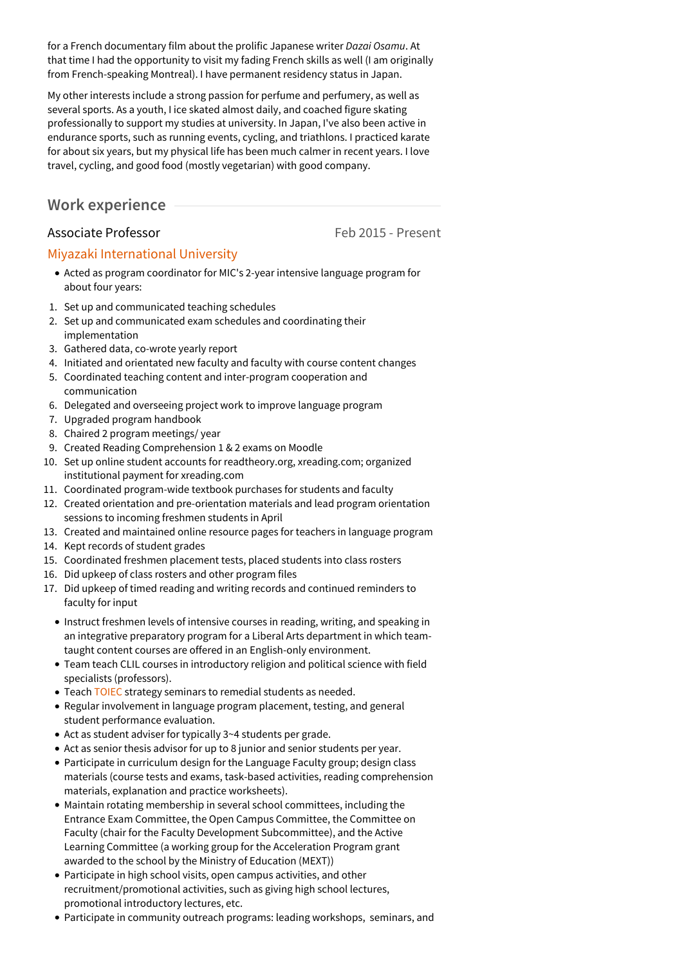for a French documentary film about the prolific Japanese writer *Dazai Osamu*. At that time I had the opportunity to visit my fading French skills as well (I am originally from French-speaking Montreal). I have permanent residency status in Japan.

My other interests include a strong passion for perfume and perfumery, as well as several sports. As a youth, I ice skated almost daily, and coached figure skating professionally to support my studies at university. In Japan, I've also been active in endurance sports, such as running events, cycling, and triathlons. I practiced karate for about six years, but my physical life has been much calmer in recent years. I love travel, cycling, and good food (mostly vegetarian) with good company.

## **Work experience**

## Associate Professor **Feb 2015** - Present

## Miyazaki [International](http://www.mic.ac.jp) University

- Acted as program coordinator for MIC's 2-year intensive language program for about four years:
- 1. Set up and communicated teaching schedules
- 2. Set up and communicated exam schedules and coordinating their implementation
- 3. Gathered data, co-wrote yearly report
- 4. Initiated and orientated new faculty and faculty with course content changes
- 5. Coordinated teaching content and inter-program cooperation and communication
- 6. Delegated and overseeing project work to improve language program
- 7. Upgraded program handbook
- 8. Chaired 2 program meetings/ year
- 9. Created Reading Comprehension 1 & 2 exams on Moodle
- 10. Set up online student accounts for readtheory.org, xreading.com; organized institutional payment for xreading.com
- 11. Coordinated program-wide textbook purchases for students and faculty
- 12. Created orientation and pre-orientation materials and lead program orientation sessions to incoming freshmen students in April
- 13. Created and maintained online resource pages for teachers in language program
- 14. Kept records of student grades
- 15. Coordinated freshmen placement tests, placed students into class rosters
- 16. Did upkeep of class rosters and other program files
- 17. Did upkeep of timed reading and writing records and continued reminders to faculty for input
	- Instruct freshmen levels of intensive courses in reading, writing, and speaking in an integrative preparatory program for a Liberal Arts department in which team taught content courses are offered in an English-only environment.
	- Team teach CLIL courses in introductory religion and political science with field specialists (professors).
	- Teach [TOIEC](https://www.ets.org/toeic) strategy seminars to remedial students as needed.
	- Regular involvement in language program placement, testing, and general student performance evaluation.
	- Act as student adviser for typically 3~4 students per grade.
	- Act as senior thesis advisor for up to 8 junior and senior students per year.
	- Participate in curriculum design for the Language Faculty group; design class materials (course tests and exams, task-based activities, reading comprehension materials, explanation and practice worksheets).
	- Maintain rotating membership in several school committees, including the Entrance Exam Committee, the Open Campus Committee, the Committee on Faculty (chair for the Faculty Development Subcommittee), and the Active Learning Committee (a working group for the Acceleration Program grant awarded to the school by the Ministry of Education (MEXT))
	- Participate in high school visits, open campus activities, and other recruitment/promotional activities, such as giving high school lectures, promotional introductory lectures, etc.
	- Participate in community outreach programs: leading workshops, seminars, and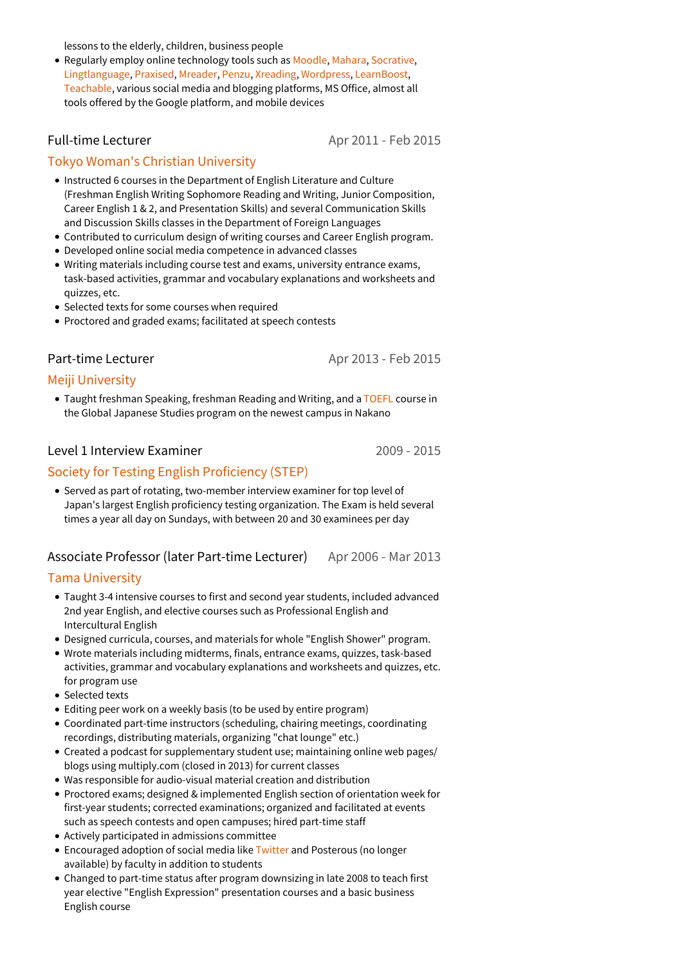lessons to the elderly, children, business people

Regularly employ online technology tools such as [Moodle](https://moodle.org/), [Mahara](https://mahara.org/), [Socrative](https://socrative.com/), [Lingtlanguage](http://lingtlanguage.com/), [Praxised,](http://praxised.com/) [Mreader](http://mreader.org), [Penzu](https://penzu.com/), [Xreading](https://xreading.com/), [Wordpress](https://wordpress.com/), [LearnBoost,](http://learnboost.com/) [Teachable](http://www.teachable.com), various social media and blogging platforms, MS Office, almost all tools offered by the Google platform, and mobile devices

#### Full-time Lecturer

Apr 2011 - Feb 2015

#### Tokyo Woman's Christian [University](http://www.twcu.ac.jp)

- Instructed 6 courses in the Department of English Literature and Culture (Freshman English Writing Sophomore Reading and Writing, Junior Composition, Career English 1 & 2, and Presentation Skills) and several Communication Skills and Discussion Skills classes in the Department of Foreign Languages
- Contributed to curriculum design ofwriting courses and Career English program.
- Developed online social media competence in advanced classes
- Writing materials including course test and exams, university entrance exams, task-based activities, grammar and vocabulary explanations and worksheets and quizzes, etc.
- Selected texts for some courses when required
- Proctored and graded exams; facilitated at speech contests

#### Part-time Lecturer

Apr 2013 - Feb 2015

#### Meiji [University](http://www.meiji.ac.jp)

• Taught freshman Speaking, freshman Reading and Writing, and a [TOEFL](https://www.ets.org/toefl) course in the Global Japanese Studies program on the newest campus in Nakano

#### Level 1 Interview Examiner

2009 - 2015

#### Society for Testing English [Proficiency](http://stepeiken.org/) (STEP)

Served as part of rotating, two-member interview examiner for top level of Japan's largest English proficiency testing organization. The Exam is held several times a year all day on Sundays, with between 20 and 30 examinees per day

#### Apr 2006 - Mar 2013 Associate Professor (later Part-time Lecturer)

#### Tama [University](http://www.tama.ac.jp)

- Taught 3-4 intensive courses to first and second year students, included advanced 2nd year English, and elective courses such as Professional English and Intercultural English
- Designed curricula, courses, and materials for whole "English Shower" program.
- Wrote materials including midterms, finals, entrance exams, quizzes, task-based activities, grammar and vocabulary explanations and worksheets and quizzes, etc. for program use
- Selected texts
- Editing peer work on a weekly basis (to be used by entire program)
- Coordinated part-time instructors (scheduling, chairing meetings, coordinating recordings, distributing materials, organizing "chat lounge" etc.)
- Created a podcast for supplementary student use; maintaining online web pages/ blogs using multiply.com (closed in 2013) for current classes
- Was responsible for audio-visual material creation and distribution
- Proctored exams; designed & implemented English section of orientation week for first-year students; corrected examinations; organized and facilitated at events such as speech contests and open campuses; hired part-time staff
- Actively participated in admissions committee
- Encouraged adoption of social media like [Twitter](https://twitter.com/) and Posterous (no longer available) by faculty in addition to students
- Changed to part-time status after program downsizing in late 2008 to teach first year elective "English Expression" presentation courses and a basic business English course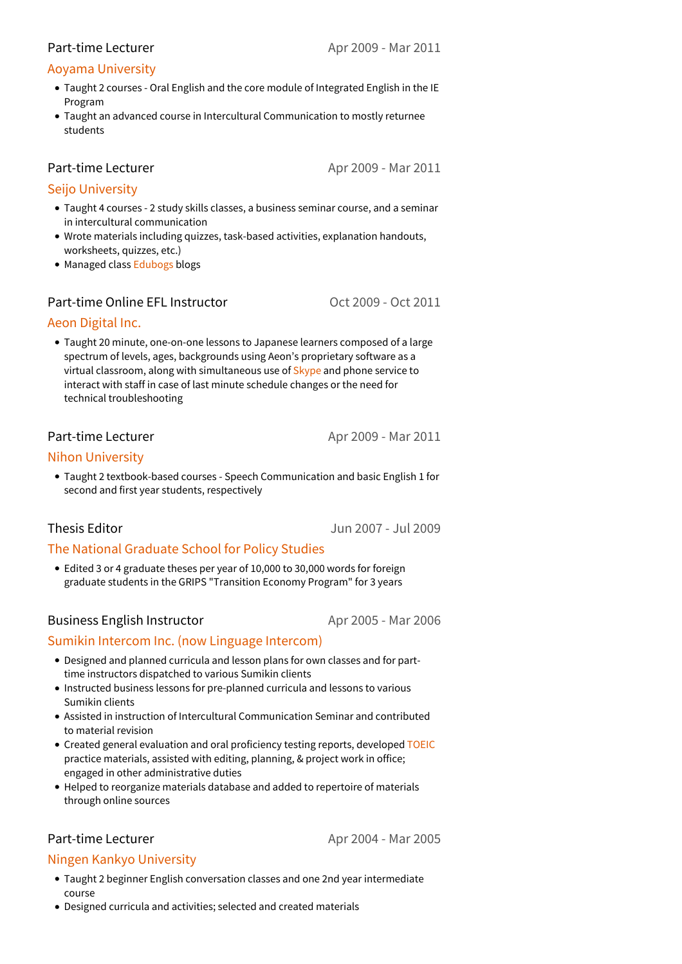#### Part-time Lecturer

#### Aoyama [University](http://www.aoyama.ac.jp)

- Taught 2 courses -Oral English and the core module of Integrated English in the IE Program
- Taught an advanced course in Intercultural Communication to mostly returnee students

Part-time Lecturer

Apr 2009 - Mar 2011

#### Seijo [University](http://seijo.ac.jp)

- Taught 4 courses -2 study skills classes, a business seminar course, and a seminar in intercultural communication
- Wrote materials including quizzes, task-based activities, explanation handouts, worksheets, quizzes, etc.)
- Managed class [Edubogs](http://edublogs.org) blogs

#### Part-time Online EFL Instructor

Oct 2009 - Oct 2011

#### Aeon [Digital](http://www.online-lesson.jp/) Inc.

Taught 20 minute, one-on-one lessons to Japanese learners composed of a large spectrum of levels, ages, backgrounds using Aeon's proprietary software as a virtual classroom, along with simultaneous use of [Skype](https://www.skype.com/en/) and phone service to interact with staff in case of last minute schedule changes or the need for technical troubleshooting

#### Part-time Lecturer

Apr 2009 - Mar 2011

#### Nihon [University](http://www.nihon-u.ac.jp)

Taught 2 textbook-based courses -Speech Communication and basic English 1 for second and first year students, respectively

## Thesis Editor

Jun 2007 - Jul 2009

## The National [Graduate](http://www.grips.ac.jp) School for Policy Studies

Edited 3 or 4 graduate theses per year of 10,000 to 30,000 words for foreign graduate students in the GRIPS "Transition Economy Program" for 3 years

#### Business English Instructor

Apr 2005 - Mar 2006

#### Sumikin Intercom Inc. (now Linguage [Intercom\)](http://www.linguage-intercom.jp/)

- Designed and planned curricula and lesson plans for own classes and for part time instructors dispatched to various Sumikin clients
- Instructed business lessons for pre-planned curricula and lessons to various Sumikin clients
- Assisted in instruction of Intercultural Communication Seminar and contributed to material revision
- Created general evaluation and oral proficiency testing reports, developed [TOEIC](https://www.ets.org/toeic) practice materials, assisted with editing, planning, & project work in office; engaged in other administrative duties
- Helped to reorganize materials database and added to repertoire of materials through online sources

#### Part-time Lecturer

Apr 2004 - Mar 2005

#### Ningen Kankyo [University](http://www.uhe.ac.jp/)

- Taught 2 beginner English conversation classes and one 2nd year intermediate course
- Designed curricula and activities; selected and created materials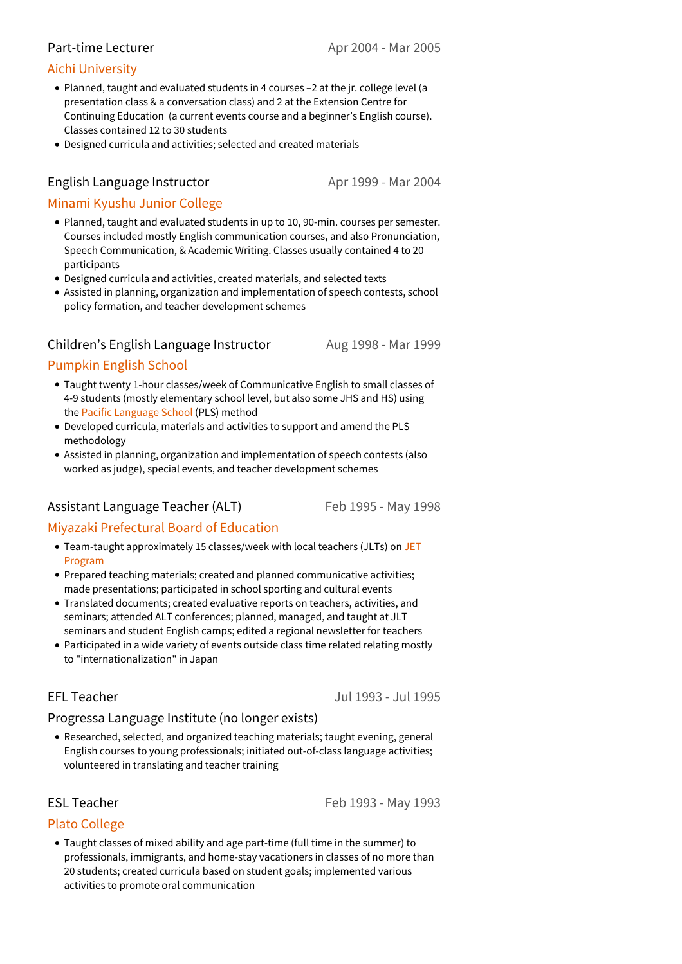#### Part-time Lecturer

#### Aichi [University](http://www.aichi-u.ac.jp/)

- Planned, taught and evaluated students in 4 courses –2 at the jr.college level (a presentation class & a conversation class) and 2 at the Extension Centre for Continuing Education (a current events course and a beginner's English course). Classes contained 12 to 30 students
- Designed curricula and activities; selected and created materials

#### English Language Instructor

Apr 1999 - Mar 2004

#### Minami Kyushu Junior [College](http://www.mkjc.ac.jp)

- Planned, taught and evaluated students in up to 10, 90-min. courses per semester. Courses included mostly English communication courses, and also Pronunciation, Speech Communication, & Academic Writing. Classes usually contained 4 to 20 participants
- Designed curricula and activities, created materials, and selected texts
- Assisted in planning, organization and implementation of speech contests, school policy formation, and teacher development schemes

#### Children's English Language Instructor

Aug 1998 - Mar 1999

## [Pumpkin](http://www.m-surf.ne.jp/~pumpkin/) English School

- Taught twenty 1-hour classes/week of Communicative English to small classes of 4-9 students (mostly elementary school level, but also some JHS and HS) using the Pacific [Language](http://www.pacificlanguageschool.com/) School (PLS) method
- Developed curricula, materials and activities to support and amend the PLS methodology
- Assisted in planning, organization and implementation of speech contests (also worked as judge), special events, and teacher development schemes

## Assistant Language Teacher (ALT)

Feb 1995 - May 1998

#### Miyazaki [Prefectural](http://www.pref.miyazaki.lg.jp/contents/org/kyoiku/somu/kyoiku_office/page00115.html) Board of Education

- Team-taught [approximately](http://jetprogramme.org/en/) 15 classes/week with local teachers (JLTs) on JET Program
- Prepared teaching materials; created and planned communicative activities; made presentations; participated in school sporting and cultural events
- Translated documents; created evaluative reports on teachers, activities, and seminars; attended ALT conferences; planned, managed, and taught at JLT seminars and student English camps; edited a regional newsletter for teachers
- Participated in a wide variety of events outside class time related relating mostly to "internationalization" in Japan

## EFL Teacher

Jul 1993 - Jul 1995

#### Progressa Language Institute (no longer exists)

Researched, selected, and organized teaching materials; taught evening, general English courses to young professionals; initiated out-of-class language activities; volunteered in translating and teacher training

ESL Teacher

Feb 1993 - May 1993

#### Plato [College](https://collegeplaton.com/)

Taught classes of mixed ability and age part-time (full time in the summer) to professionals, immigrants, and home-stay vacationers in classes of no more than 20 students; created curricula based on student goals; implemented various activities to promote oral communication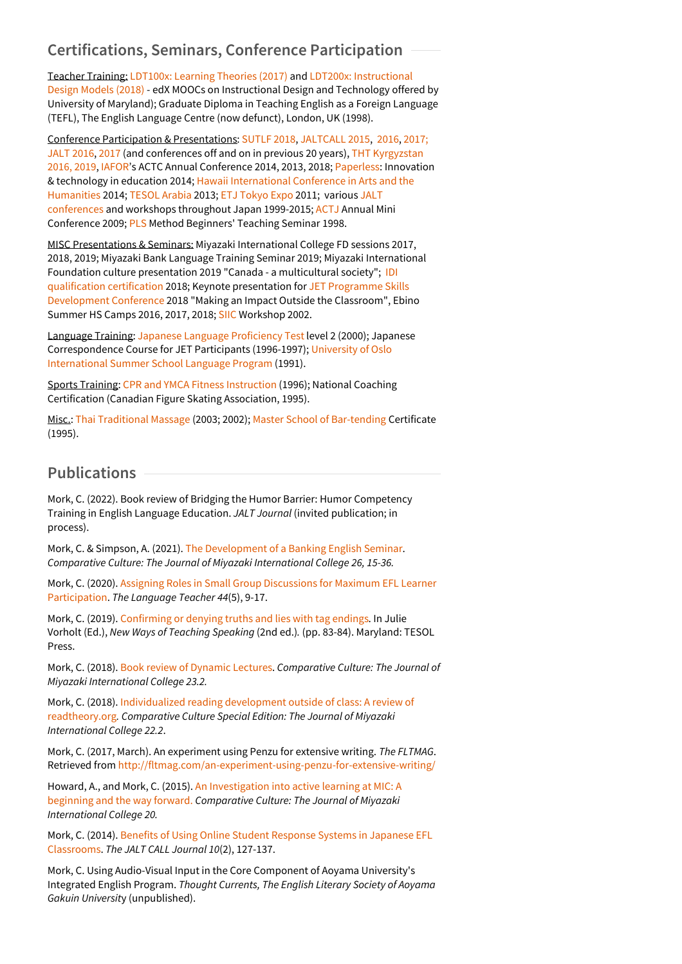# **Certifications, Seminars, Conference Participation**

Teacher Training: [LDT100x:](https://courses.edx.org/certificates/db48f52bba874edf9d93c9c07b7a1521) Learning Theories (2017) and LDT200x: Instructional Design Models (2018) - edX MOOCs on [Instructional](https://courses.edx.org/certificates/b695765f2a1b476fb143725d44c042f5) Design and Technology offered by University of Maryland); Graduate Diploma in Teaching English as a Foreign Language (TEFL), The English Language Centre (now defunct), London, UK (1998).

Conference Participation & Presentations: [SUTLF](https://jalt.org/ja/events/nankyu-chapter/18-02-03) 2018, [JALTCALL](http://conference2016.jaltcall.org) 2015, [2016,](http://conference2016.jaltcall.org) [2017;](http://conference2017.jaltcall.org/) [JALT](http://jalt.org/conference/jalt2016) 2016, [2017](http://jalt.org/conference/jalt2017) (and [conferences](http://www.tht-japan.org/kyrgyzstan.html) off and on in previous 20 years), THT Kyrgyzstan 2016, 2019, [IAFOR](http://iafor.org/)'s ACTC Annual Conference 2014, 2013, 2018; [Paperless](http://paperless2014.weebly.com/): Innovation & technology in education 2014; Hawaii [International](http://www.hichumanities.org) Conference in Arts and the Humanities 2014; [TESOL](http://tesolarabia.org/conference) Arabia 2013; ETJ [Tokyo](http://ltprofessionals.com/ETJ/) Expo 2011; various JALT [conferences](http://jalt.org/) and workshops throughout Japan 1999-2015; [ACTJ](http://actj.main.jp) Annual Mini Conference 2009; [PLS](http://www.pls-pec.co.jp/) Method Beginners' Teaching Seminar 1998.

MISC Presentations & Seminars: Miyazaki International College FD sessions 2017, 2018, 2019; Miyazaki Bank Language Training Seminar 2019; Miyazaki International Foundation culture presentation 2019 "Canada - a [multicultural](https://idiinventory.com/idi-qualifying-seminar/) society"; IDI qualification certification 2018; Keynote presentation for JET Programme Skills [Development](http://jetprogramme.org/en/conferences/) Conference 2018 "Making an Impact Outside the Classroom", Ebino Summer HS Camps 2016, 2017, 2018; [SIIC](http://www.intercultural.org/siic.php) Workshop 2002.

Language Training: Japanese Language [Proficiency](https://www.jlpt.jp/e/) Test level 2 (2000); Japanese [Correspondence](https://www.uio.no/english/studies/summerschool/) Course for JET Participants (1996-1997); University of Oslo International Summer School Language Program (1991).

Sports Training: CPR and YMCA Fitness [Instruction](https://www.ymcaquebec.org/en/Health-and-Fitness/Fitness-Instructor-Training) (1996); National Coaching Certification (Canadian Figure Skating Association, 1995).

Misc.: Thai [Traditional](http://www.itmthaimassage.com) Massage (2003; 2002); Master School of [Bar-tending](https://bartendertraining.ca/schools/master-school-of-bartending/) Certificate (1995).

# **Publications**

Mork, C. (2022). Book review of Bridging the Humor Barrier: Humor Competency Training in English Language Education. *JALT Journal* (invited publication; in process).

Mork, C. & Simpson, A. (2021). The [Development](https://www.mic.ac.jp/files/uploads/Comparative_Culture2021.pdf) of a Banking English Seminar. *Comparative Culture: The Journal of Miyazaki International College 26, 15-36.*

Mork, C. (2020). Assigning Roles in Small Group Discussions for Maximum EFL Learner [Participation.](https://doi.org/10.37546/jalttlt44.5-2) *The Language Teacher 44*(5), 9-17.

Mork, C. (2019). [Confirming](https://sites.tesol.org/ItemDetail?iProductCode=14106&Category=NEWWAYS&WebsiteKey=62ea1393-07ea-402b-b723-0e66240ee86b) or denying truths and lies with tag endings. In Julie Vorholt (Ed.), *New Ways of Teaching Speaking* (2nd ed.)*.* (pp. 83-84). Maryland: TESOL Press.

Mork, C. (2018). Book review of [Dynamic](https://www.mic.ac.jp/files/uploads/Comparative_Culture2018.pdf) Lectures. *Comparative Culture: The Journal of Miyazaki International College 23.2.*

Mork, C. (2018). Individualized reading development outside of class: A review of [readtheory.org](https://www.mic.ac.jp/files/uploads/comparative_culture_special_issue.pdf)*. Comparative Culture Special Edition: The Journal of Miyazaki International College 22.2*.

Mork, C. (2017, March). An experiment using Penzu for extensive writing. *The FLTMAG*. Retrieved from <http://fltmag.com/an-experiment-using-penzu-for-extensive-writing/>

Howard, A., and Mork, C. (2015). An [Investigation](https://www.academia.edu/26793195/An_investigation_into_active_learning_at_MIC_A_beginning_and_the_way_forward) into active learning at MIC: A beginning and the way forward. *Comparative Culture: The Journal of Miyazaki International College 20.*

Mork, C. (2014). Benefits of Using Online Student Response Systems in Japanese EFL [Classrooms.](http://journal.jaltcall.org/articles/10_2_Mork.pdf) *The JALT CALL Journal 10*(2), 127-137.

Mork, C. Using Audio-Visual Input in the Core Component of Aoyama University's Integrated English Program. *Thought Currents, The English Literary Society of Aoyama Gakuin Universit*y (unpublished).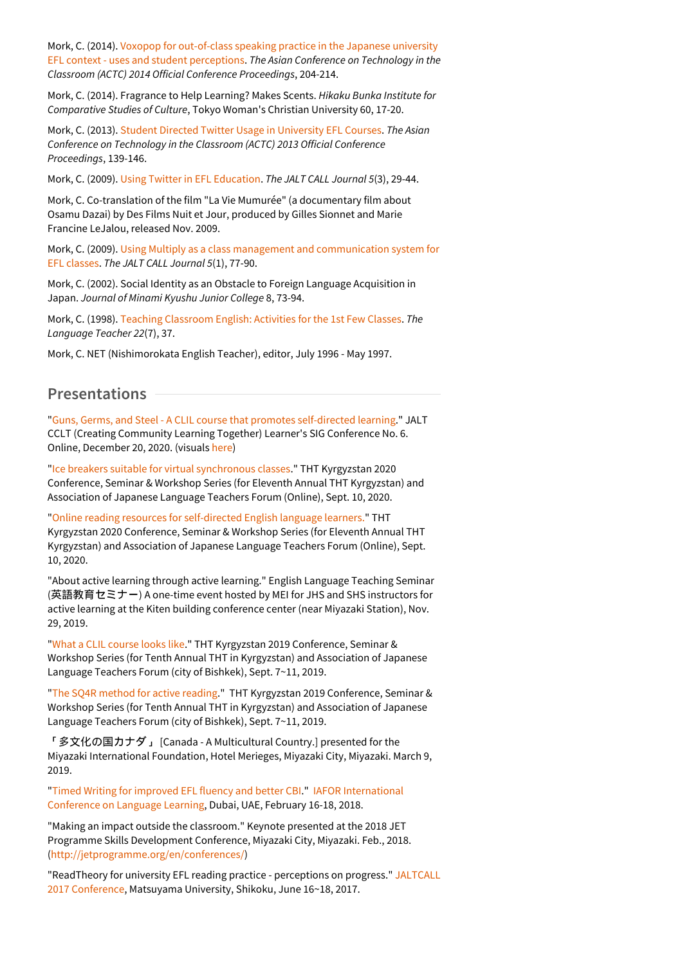Mork, C. (2014). Voxopop for out-of-class speaking practice in the Japanese university EFL context - uses and student [perceptions.](http://iafor.org/Proceedings/ACTC/ACTC2014_proceedings.pdf) *The Asian Conference on Technology in the Classroom (ACTC) 2014 Official Conference Proceedings*, 204-214.

Mork, C. (2014). Fragrance to Help Learning? Makes Scents. *Hikaku Bunka Institute for Comparative Studies of Culture*, Tokyo Woman's Christian University 60, 17-20.

Mork, C. (2013). Student Directed Twitter Usage in [University](http://iafor.org/Proceedings/ACTC/ACTC2013_Proceedings.pdf) EFL Courses. *The Asian Conference on Technology in the Classroom (ACTC) 2013 Official Conference Proceedings*, 139-146.

Mork, C. (2009). Using Twitter in EFL [Education](http://jaltcall.org/journal/articles/5_3_Mork.pdf). *The JALT CALL Journal 5*(3), 29-44.

Mork, C. Co-translation of the film "La Vie Mumurée" (a documentary film about Osamu Dazai) by Des Films Nuit et Jour, produced by Gilles Sionnet and Marie Francine LeJalou, released Nov. 2009.

Mork, C. (2009). Using Multiply as a class management and [communication](http://jaltcall.org/journal/articles/5_1_Mork.pdf) system for EFL classes. *The JALT CALL Journal 5*(1), 77-90.

Mork, C. (2002). Social Identity as an Obstacle to Foreign Language Acquisition in Japan. *Journal of Minami Kyushu Junior College* 8, 73-94.

Mork, C. (1998). Teaching [Classroom](http://jalt-publications.org/tlt/departments/myshare/articles/2341-teaching-classroom-english-activities-first-few-classes) English: Activities for the 1st Few Classes. *The Language Teacher 22*(7), 37.

Mork, C. NET (Nishimorokata English Teacher), editor, July 1996 - May 1997.

#### **Presentations**

"Guns, Germs, and Steel - A CLIL course that promotes [self-directed](https://www.slideshare.net/rawrapture/2020-cclt-creating-community-learning-together-6-jalt-learners-sig-conference-presentation) learning." JALT CCLT (Creating Community Learning Together) Learner's SIG Conference No. 6. Online, December 20, 2020. (visuals [here\)](https://www.slideshare.net/rawrapture/2020-cclt-creating-community-learning-together-6-jalt-learners-sig-conference-presentation)

"Ice breakers suitable for virtual [synchronous](https://youtu.be/KORGwOY1zG4) classes." THT Kyrgyzstan 2020 Conference, Seminar & Workshop Series (for Eleventh Annual THT Kyrgyzstan) and Association of Japanese Language Teachers Forum (Online), Sept. 10, 2020.

"Online reading resources for [self-directed](https://youtu.be/MMKm838lkG4) English language learners." THT Kyrgyzstan 2020 Conference, Seminar & Workshop Series (for Eleventh Annual THT Kyrgyzstan) and Association of Japanese Language Teachers Forum (Online), Sept. 10, 2020.

"About active learning through active learning." English Language Teaching Seminar (英語教育セミナー) A one-time event hosted by MEI for JHS and SHS instructors for active learning at the Kiten building conference center (near Miyazaki Station), Nov. 29, 2019.

"What a CLIL [course](https://www.slideshare.net/rawrapture/what-a-clil-course-looks-like) looks like." THT Kyrgyzstan 2019 Conference, Seminar & Workshop Series (for Tenth Annual THT in Kyrgyzstan) and Association of Japanese Language Teachers Forum (city of Bishkek), Sept. 7~11, 2019.

"The SQ4R [method](https://www.youtube.com/watch?v=Vq19QIlx0iE) for active reading." THT Kyrgyzstan 2019 Conference, Seminar & Workshop Series (for Tenth Annual THT in Kyrgyzstan) and Association of Japanese Language Teachers Forum (city of Bishkek), Sept. 7~11, 2019.

「多文化の国カナダ」 [Canada - A Multicultural Country.] presented for the Miyazaki International Foundation, Hotel Merieges, Miyazaki City, Miyazaki. March 9, 2019.

"Timed Writing for [improved](https://www.slideshare.net/secret/BCH1WViiv1BSwR) EFL fluency and better CBI." IAFOR [International](https://iiclldubai.iafor.org/) Conference on Language Learning, Dubai, UAE, February 16-18, 2018.

"Making an impact outside the classroom." Keynote presented at the 2018 JET Programme Skills Development Conference, Miyazaki City, Miyazaki. Feb., 2018. [\(http://jetprogramme.org/en/conferences/](http://jetprogramme.org/en/conferences/))

["ReadTheory](http://conference2017.jaltcall.org/) for university EFL reading practice - perceptions on progress." JALTCALL 2017 Conference, Matsuyama University, Shikoku, June 16~18, 2017.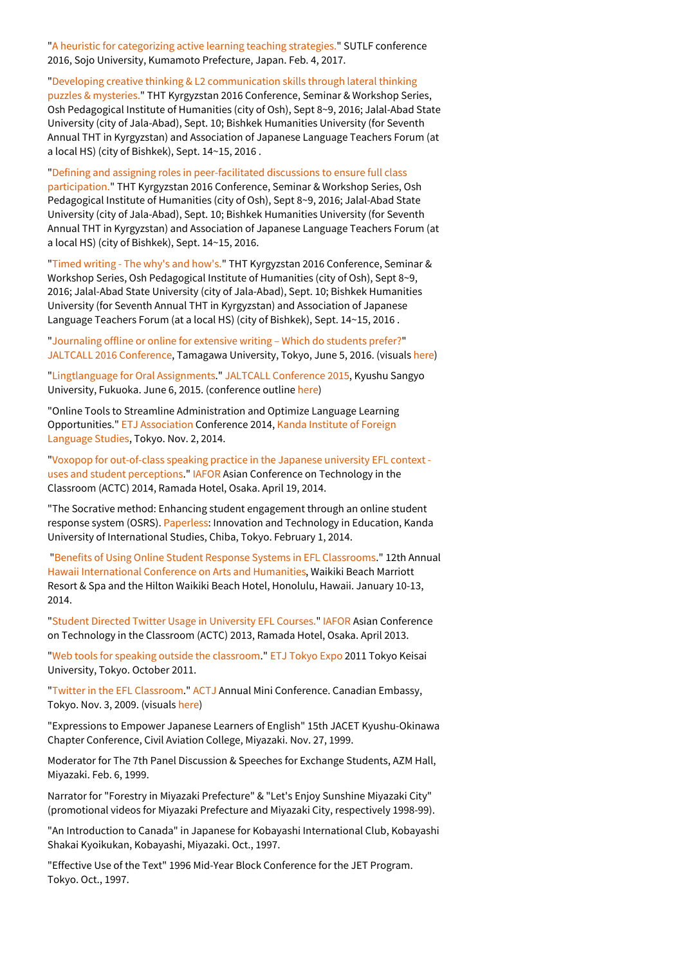"A heuristic for [categorizing](https://www.academia.edu/31114854/_Feb_2017_A_heuristic_for_categorizing_active_learning_teaching_strategies) active learning teaching strategies." SUTLF conference 2016, Sojo University, Kumamoto Prefecture, Japan. Feb. 4, 2017.

"Developing creative thinking & L2 [communication](https://www.academia.edu/27996616/HANDOUT_Sep_2016_Developing_creative_thinking_and_L2_communication_skills_through_lateral_thinking_puzzles_and_mysteries) skills through lateral thinking puzzles & mysteries." THT Kyrgyzstan 2016 Conference, Seminar & Workshop Series, Osh Pedagogical Institute of Humanities (city of Osh), Sept 8~9, 2016; Jalal-Abad State University (city of Jala-Abad), Sept. 10; Bishkek Humanities University (for Seventh Annual THT in Kyrgyzstan) and Association of Japanese Language Teachers Forum (at a local HS) (city of Bishkek), Sept. 14~15, 2016 .

"Defining and assigning roles in [peer-facilitated](https://www.academia.edu/28078617/HANDOUT_Sep_2016_Defining_and_assigning_roles_in_peer-facilitated_discussions_to_ensure_full_class_participation) discussions to ensure full class

participation." THT Kyrgyzstan 2016 Conference, Seminar & Workshop Series, Osh Pedagogical Institute of Humanities (city of Osh), Sept 8~9, 2016; Jalal-Abad State University (city of Jala-Abad), Sept. 10; Bishkek Humanities University (for Seventh Annual THT in Kyrgyzstan) and Association of Japanese Language Teachers Forum (at a local HS) (city of Bishkek), Sept. 14~15, 2016.

"Timed [writing](https://www.academia.edu/27639582/_Sep_2016_Timed_writing_-_The_whys_and_hows) - The why's and how's." THT Kyrgyzstan 2016 Conference, Seminar & Workshop Series, Osh Pedagogical Institute of Humanities (city of Osh), Sept 8~9, 2016; Jalal-Abad State University (city of Jala-Abad), Sept. 10; Bishkek Humanities University (for Seventh Annual THT in Kyrgyzstan) and Association of Japanese Language Teachers Forum (at a local HS) (city of Bishkek), Sept. 14~15, 2016 .

["Journaling](https://www.academia.edu/24894746/_Jun_2016_Journaling_offline_or_online_for_extensive_writing_Which_do_students_prefer) offline or online for extensive writing – Which do students prefer?" JALTCALL 2016 [Conference,](http://conference2016.jaltcall.org/) Tamagawa University, Tokyo, June 5, 2016. (visuals [here](http://prezi.com/2eqc1vusfvol/?utm_campaign=share&utm_medium=copy&rc=ex0share))

["Lingtlanguage](http://prezi.com/vlhk5go9iamz/?utm_campaign=share&utm_medium=copy) for Oral Assignments." JALTCALL [Conference](http://conference2015.jaltcall.org/) 2015, Kyushu Sangyo University, Fukuoka. June 6, 2015. (conference outline [here](http://conference2015.jaltcall.org/files/2014/12/JC2015Handbook2.pdf))

"Online Tools to Streamline Administration and Optimize Language Learning [Opportunities."](http://www.kandagaigo.ac.jp/kifl/) ETJ [Association](http://ltprofessionals.com) Conference 2014, Kanda Institute of Foreign Language Studies, Tokyo. Nov. 2, 2014.

"Voxopop for out-of-class speaking practice in the Japanese university EFL context uses and student [perceptions."](http://prezi.com/bj5jphkowrii/voxopop-for-out-of-class-speaking-practice-uses-and-student-perceptions/) [IAFOR](http://iafor.org/iafor/) Asian Conference on Technology in the Classroom (ACTC) 2014, Ramada Hotel, Osaka. April 19, 2014.

"The Socrative method: Enhancing student engagement through an online student response system (OSRS). [Paperless](http://paperless2014.weebly.com): Innovation and Technology in Education, Kanda University of International Studies, Chiba, Tokyo. February 1,2014.

"Benefits of Using Online Student Response Systems in EFL [Classrooms](http://prezi.com/rrgffzadejdg/benefits-of-using-online-student-response-systems-in-efl-classrooms/)." 12th Annual Hawaii [International](http://www.hichumanities.org/) Conference on Arts and Humanities, Waikiki Beach Marriott Resort & Spa and the Hilton Waikiki Beach Hotel, Honolulu, Hawaii. January 10-13, 2014.

"Student Directed Twitter Usage in [University](http://prezi.com/jh6cakojgpjr/twitter-for-self-directed-learning/) EFL Courses." [IAFOR](http://iafor.org/iafor/) Asian Conference on Technology in the Classroom (ACTC) 2013, Ramada Hotel, Osaka. April 2013.

"Web tools for speaking outside the [classroom](http://prezi.com/b2r7zww1-m24/web-tools-for-speaking-outside-the-classroom/)." ETJ [Tokyo](http://ltprofessionals.com/ETJ/) Expo 2011 Tokyo Keisai University, Tokyo. October 2011.

"Twitter in the EFL [Classroom.](http://prezi.com/zh2iu1p8ymj0/twitter-in-the-efl-classroom/)" [ACTJ](http://actj.org) Annual Mini Conference. Canadian Embassy, Tokyo. Nov. 3, 2009. (visuals [here\)](http://prezi.com/zh2iu1p8ymj0/twitter-in-the-efl-classroom/)

"Expressions to Empower Japanese Learners of English" 15th JACET Kyushu-Okinawa Chapter Conference, Civil Aviation College, Miyazaki. Nov. 27, 1999.

Moderator for The 7th Panel Discussion & Speeches for Exchange Students, AZM Hall, Miyazaki. Feb. 6, 1999.

Narrator for "Forestry in Miyazaki Prefecture" & "Let's Enjoy Sunshine Miyazaki City" (promotional videos for Miyazaki Prefecture and Miyazaki City, respectively 1998-99).

"An Introduction to Canada" in Japanese for Kobayashi International Club, Kobayashi Shakai Kyoikukan, Kobayashi, Miyazaki. Oct., 1997.

"Effective Use of the Text" 1996 Mid-Year Block Conference for the JET Program. Tokyo. Oct., 1997.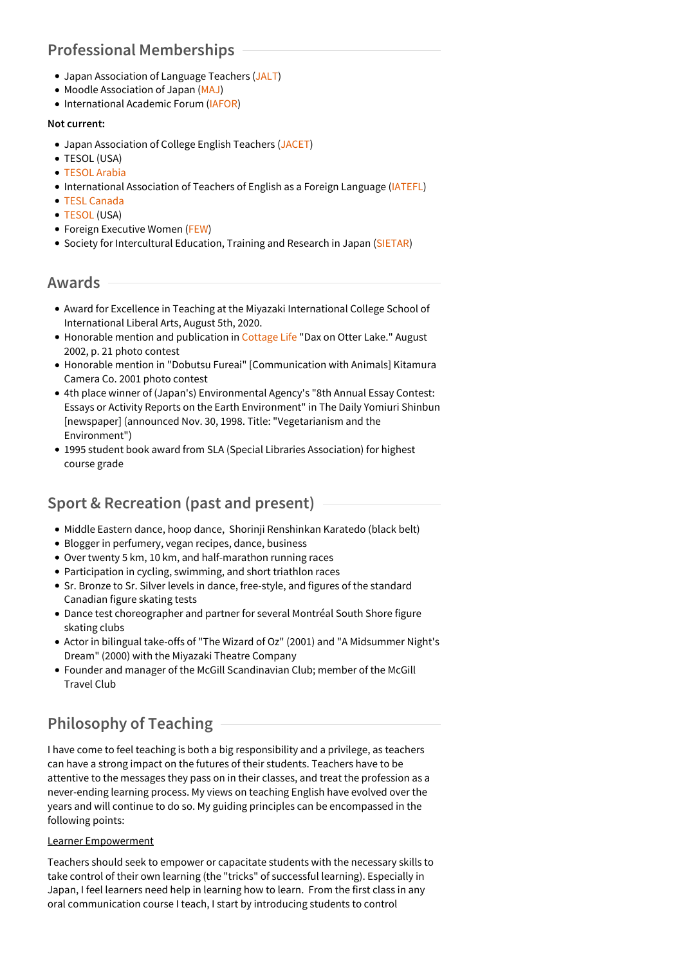# **Professional Memberships**

- Japan Association of Language Teachers [\(JALT](http://jalt.org/))
- Moodle Association of Japan [\(MAJ](http://moodlejapan.org/home/))
- International Academic Forum ([IAFOR](http://iafor.org/))

#### **Not current:**

- Japan Association of College English Teachers ([JACET](http://www.jacet.org/))
- **TESOL (USA)**
- [TESOL](http://tesolarabia.org) Arabia
- International Association of Teachers of English as a Foreign Language ([IATEFL](http://www.iatefl.org/))
- TESL [Canada](http://www.tesl.ca/)
- [TESOL](http://www.tesol.org/) (USA)
- Foreign Executive Women [\(FEW](http://www.fewjapan.com/))
- **Society for Intercultural Education, Training and Research in Japan [\(SIETAR](http://www.sietar-japan.org/en/))**

## **Awards**

- Award for Excellence in Teaching at the Miyazaki International College School of International Liberal Arts, August 5th, 2020.
- Honorable mention and publication in [Cottage](http://cottagelife.com) Life "Dax on Otter Lake." August 2002, p. 21 photo contest
- Honorable mention in "Dobutsu Fureai" [Communication with Animals] Kitamura Camera Co. 2001 photo contest
- 4th place winner of (Japan's) Environmental Agency's "8th Annual Essay Contest: Essays or Activity Reports on the Earth Environment" in The Daily Yomiuri Shinbun [newspaper] (announced Nov. 30, 1998. Title: "Vegetarianism and the Environment")
- 1995 student book award from SLA (Special Libraries Association) for highest course grade

# **Sport & Recreation (past and present)**

- Middle Eastern dance, hoop dance, Shorinji Renshinkan Karatedo (black belt)
- Blogger in perfumery, vegan recipes, dance, business
- Over twenty 5 km, 10 km, and half-marathon running races
- Participation in cycling, swimming, and short triathlon races
- Sr. Bronze to Sr. Silver levels in dance, free-style, and figures of the standard Canadian figure skating tests
- Dance test choreographer and partner for several Montréal South Shore figure skating clubs
- Actor in bilingual take-offs of "The Wizard of Oz" (2001) and "A Midsummer Night's Dream" (2000) with the Miyazaki Theatre Company
- Founder and manager of the McGill Scandinavian Club; member of the McGill Travel Club

# **Philosophy of Teaching**

I have come to feel teaching is both a big responsibility and a privilege, as teachers can have a strong impact on the futures of their students. Teachers have to be attentive to the messages they pass on in their classes, and treat the profession as a never-ending learning process. My views on teaching English have evolved over the years and will continue to do so. My guiding principles can be encompassed in the following points:

#### Learner Empowerment

Teachers should seek to empower or capacitate students with the necessary skills to take control of their own learning (the "tricks" of successful learning). Especially in Japan, I feel learners need help in learning how to learn. From the first class in any oral communication course I teach, I start by introducing students to control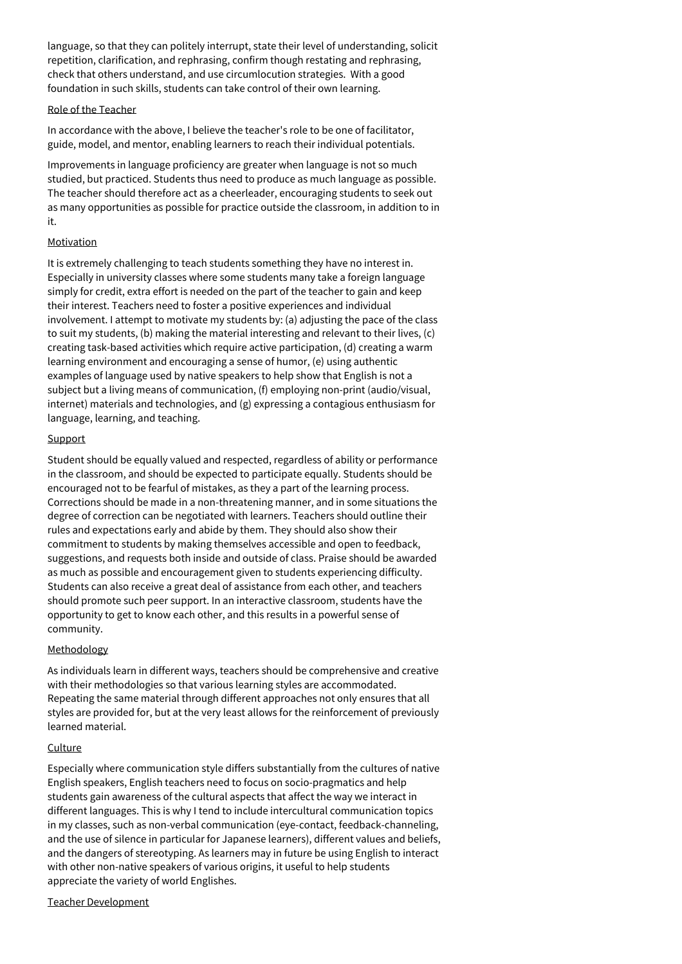language, so that they can politely interrupt, state their level of understanding, solicit repetition, clarification, and rephrasing, confirm though restating and rephrasing, check that others understand, and use circumlocution strategies. With a good foundation in such skills, students can take control of their own learning.

#### Role of the Teacher

In accordance with the above, I believe the teacher's role to be one of facilitator, guide, model, and mentor, enabling learners to reach their individual potentials.

Improvements in language proficiency are greater when language is not so much studied, but practiced. Students thus need to produce as much language as possible. The teacher should therefore act as a cheerleader, encouraging students to seek out as many opportunities as possible for practice outside the classroom, in addition to in it.

#### Motivation

It is extremely challenging to teach students something they have no interest in. Especially in university classes where some students many take a foreign language simply for credit, extra effort is needed on the part of the teacher to gain and keep their interest. Teachers need to foster a positive experiences and individual involvement. I attempt to motivate my students by: (a) adjusting the pace of the class to suit my students, (b) making the material interesting and relevant to their lives, (c) creating task-based activities which require active participation, (d) creating a warm learning environment and encouraging a sense of humor, (e) using authentic examples of language used by native speakers to help show that English is not a subject but a living means of communication, (f) employing non-print (audio/visual, internet) materials and technologies, and (g) expressing a contagious enthusiasm for language, learning, and teaching.

#### **Support**

Student should be equally valued and respected, regardless of ability or performance in the classroom, and should be expected to participate equally. Students should be encouraged not to be fearful of mistakes, as they a part of the learning process. Corrections should be made in a non-threatening manner, and in some situations the degree of correction can be negotiated with learners. Teachers should outline their rules and expectations early and abide by them. They should also show their commitment to students by making themselves accessible and open to feedback, suggestions, and requests both inside and outside of class. Praise should be awarded as much as possible and encouragement given to students experiencing difficulty. Students can also receive a great deal of assistance from each other, and teachers should promote such peer support. In an interactive classroom, students have the opportunity to get to know each other, and this results in a powerful sense of community.

#### Methodology

As individuals learn in different ways, teachers should be comprehensive and creative with their methodologies so that various learning styles are accommodated. Repeating the same material through different approaches not only ensures that all styles are provided for, but at the very least allows for the reinforcement of previously learned material.

#### **Culture**

Especially where communication style differs substantially from the cultures of native English speakers, English teachers need to focus on socio-pragmatics and help students gain awareness of the cultural aspects that affect the way we interact in different languages. This is why I tend to include intercultural communication topics in my classes, such as non-verbal communication (eye-contact, feedback-channeling, and the use of silence in particular for Japanese learners), different values and beliefs, and the dangers of stereotyping. As learners may in future be using English to interact with other non-native speakers of various origins, it useful to help students appreciate the variety of world Englishes.

#### Teacher Development